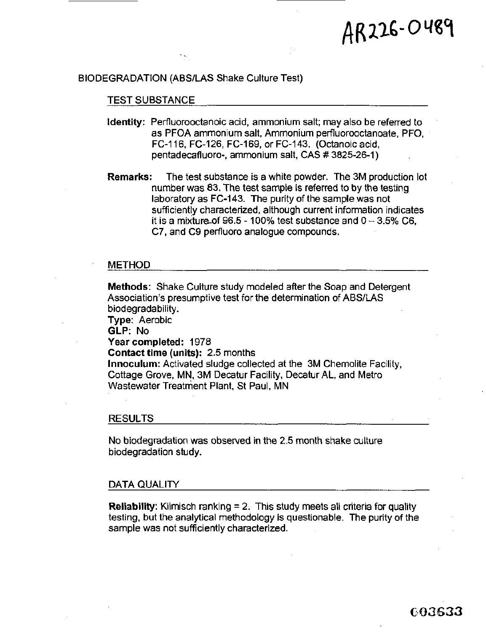# AR226-0489

# BIODEGRADATION (ABS/LAS Shake Culture Test)

#### TEST SUBSTANCE

- **Identity:** Perfluorooctanoic acid, ammonium salt; may also be referred to as PFOA ammonium salt, Ammonium perfluorooctanoate, PFO, FC-116, FC-126, FC-169, or FC-143. (Octanoic acid, pentadecafluoro-, ammonium salt, CAS # 3825-26-1 )
- **Remarks:** The test substance is a white powder. The 3M production lot number was 83. The test sample is referred to by the testing laboratory as FC-143. The purity of the sample was not sufficiently characterized, although current information indicates it is a mixture of 96.5 - 100% test substance and  $0 - 3.5\%$  C6, C7, and C9 pertluoro analogue compounds.

# METHOD

**Methods:** Shake Culture study modeled after the Soap and Detergent Association's presumptive test for the determination of ABS/LAS biodegradability.

**Type:** Aerobic **GLP:** No **Year completed:** 1978 **Contact time (units): 2.5** months **Innoculum:** Activated sludge collected at the 3M Chemolite Facility, Cottage Grove, MN, 3M Decatur Facility, Decatur AL, and Metro Wastewater Treatment Plant, St Paul, MN

#### RESULTS

No biodegradation was observed in the 2.5 month shake culture biodegradation study.

# DATA QUALITY

**Reliability:** Klimisch ranking = 2. This study meets all criteria for quality testing, but the analytical methodology **is** questionable. The purity of the sample was not sufficiently characterized.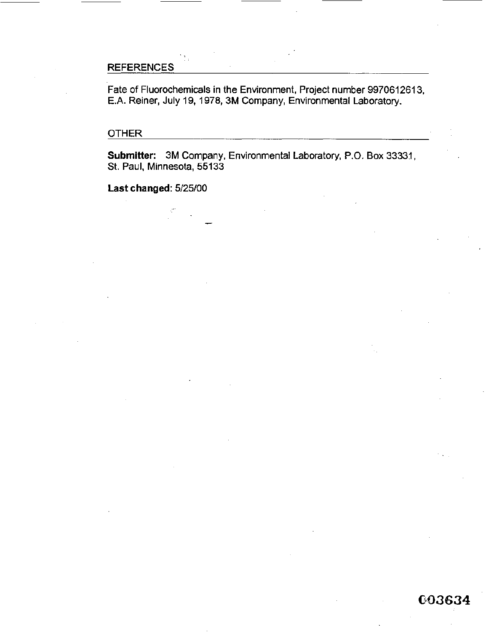# **REFERENCES**

Fate of Fluorochemicals in the Environment, Project number 997061261 3, E.A. Reiner, July 19, 1978, 3M Company, Environmental Laboratory.

# OTHER

Submitter: 3M Company, Environmental Laboratory, P.O. Box 33331, **St.** Paul, Minnesota, 55133

**Last changed: 5/25/00**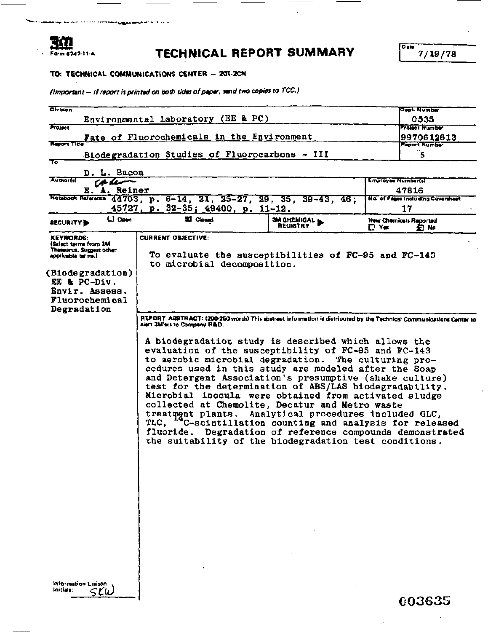#### Form 6747-11-A

# **TECHNICAL REPORT SUMMARY**  $\int_{0}^{\infty} \frac{7}{19/78}$

*0* **a01** 

# **TO: TECHNICAL COMMUNICATIONS CENTER - 201-2CN**

(Important - If report is printed on both sides of paper, send two copies to TCC.)

| <b>Olvision</b>                                                                                                                                                                    |                                                                                                                                                                                                                                                                                                                                                                                                                                                                                                                                                                                                                                                                                                                                                                                                                                                                                                                                                                                        |                         | Dept. Number                               |
|------------------------------------------------------------------------------------------------------------------------------------------------------------------------------------|----------------------------------------------------------------------------------------------------------------------------------------------------------------------------------------------------------------------------------------------------------------------------------------------------------------------------------------------------------------------------------------------------------------------------------------------------------------------------------------------------------------------------------------------------------------------------------------------------------------------------------------------------------------------------------------------------------------------------------------------------------------------------------------------------------------------------------------------------------------------------------------------------------------------------------------------------------------------------------------|-------------------------|--------------------------------------------|
|                                                                                                                                                                                    | Environmental Laboratory (EE & PC)                                                                                                                                                                                                                                                                                                                                                                                                                                                                                                                                                                                                                                                                                                                                                                                                                                                                                                                                                     |                         | 0535                                       |
| Profect                                                                                                                                                                            | Fate of Fluorochemicals in the Environment                                                                                                                                                                                                                                                                                                                                                                                                                                                                                                                                                                                                                                                                                                                                                                                                                                                                                                                                             |                         | <b>Project Number</b><br>9970612613        |
| Report Title                                                                                                                                                                       |                                                                                                                                                                                                                                                                                                                                                                                                                                                                                                                                                                                                                                                                                                                                                                                                                                                                                                                                                                                        |                         | <b>Report Number</b>                       |
| To                                                                                                                                                                                 | Biodegradation Studies of Fluorocarbons - III                                                                                                                                                                                                                                                                                                                                                                                                                                                                                                                                                                                                                                                                                                                                                                                                                                                                                                                                          |                         | ंड                                         |
| D. L. Bacon                                                                                                                                                                        |                                                                                                                                                                                                                                                                                                                                                                                                                                                                                                                                                                                                                                                                                                                                                                                                                                                                                                                                                                                        |                         |                                            |
| <b>Authorfs</b><br>e a levonom                                                                                                                                                     |                                                                                                                                                                                                                                                                                                                                                                                                                                                                                                                                                                                                                                                                                                                                                                                                                                                                                                                                                                                        |                         | <b>Employee Number(s)</b>                  |
| E. A. Reiner                                                                                                                                                                       |                                                                                                                                                                                                                                                                                                                                                                                                                                                                                                                                                                                                                                                                                                                                                                                                                                                                                                                                                                                        |                         | 47816<br>No. of Pages Including Coversheet |
|                                                                                                                                                                                    | Notebook Meteories 44703, p. 6-14, 21, 25-27, 29, 35, 39-43, 46;<br>45727, p. 32-35; 49400, p. 11-12.                                                                                                                                                                                                                                                                                                                                                                                                                                                                                                                                                                                                                                                                                                                                                                                                                                                                                  |                         | 17                                         |
| $\square$ Open<br><b>SECURITY</b>                                                                                                                                                  | <b>E Closed</b>                                                                                                                                                                                                                                                                                                                                                                                                                                                                                                                                                                                                                                                                                                                                                                                                                                                                                                                                                                        | 3M CHEMICAL<br>REGISTRY | New Chemicals Reported<br>ΠYe≰<br>釘加       |
| <b>KEYWORDS:</b><br>(Select terms from 3M<br>Thessurus, Suggest other<br>applicable terms.)<br>(Biodegradation)<br>EE & PC-Div.<br>Envir. Assess.<br>Fluorochemical<br>Degradation | <b>CURRENT OBJECTIVE:</b><br>To evaluate the susceptibilities of FC-95 and FC-143<br>to microbial decomposition.<br>REPORT ABSTRACT: (200-260 words) This abstract information is distributed by the Technical Communications Center to<br>alert 3M'ers to Company R&D.<br>A biodegradation study is described which allows the<br>evaluation of the susceptibility of FC-95 and FC-143<br>to aerobic microbial degradation. The culturing pro-<br>cedures used in this study are modeled after the Soap<br>and Detergent Association's presumptive (shake culture)<br>test for the determination of ABS/LAS biodegradability.<br>Microbial inocula were obtained from activated sludge<br>collected at Chemolite, Decatur and Metro waste<br>treatment plants. Analytical procedures included GLC,<br>TLC, "C-scintillation counting and analysis for released<br>fluoride. Degradation of reference compounds demonstrated<br>the suitability of the biodegradation test conditions. |                         |                                            |
| Information Lisison<br>Initials:                                                                                                                                                   |                                                                                                                                                                                                                                                                                                                                                                                                                                                                                                                                                                                                                                                                                                                                                                                                                                                                                                                                                                                        |                         | 003635                                     |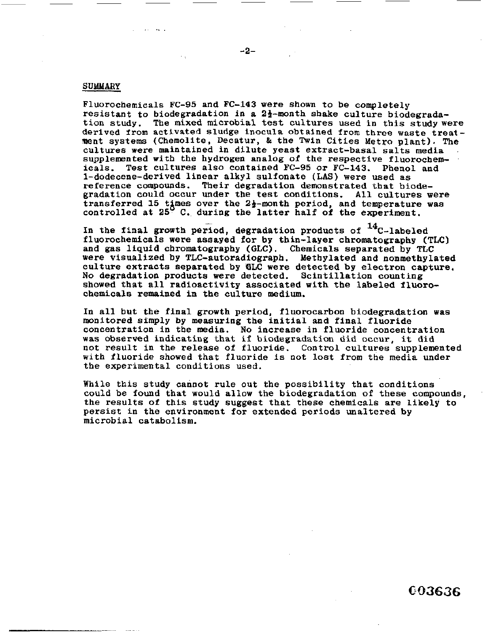#### **SUMMARY**

Fluorochemicals **FC-95** and **FC-143** were shown to be completely resistant to biodegradation in a  $2\frac{1}{2}$ -month shake culture biodegrada-<br>tion study. The mixed microbial test cultures used in this study were **derived from** activated sludge inocula obtained **from** three waste treat-Hent systems (Chernolite, Decatur, & the Twin Cities Metro plant). *The*  cultures were maintained **in** dilute yeast extract-basal salts media supplemented with the hydrogen analog **of** the respective fluorochemicals. Test cultures **also** contained **FC-95 or FC-143.** Phenol and l-dodecene-derived linear alkyl sulfonate (LAS) were used as reference compounds. Their degradation demonstrated that biodegradation could occur under the test conditions. All cultures were transferred 15 times over the  $2\frac{1}{2}$ -month period, and temperature was controlled at **25 C..** during the latter half **of** the experiment.

**In** the final growth period, degradation products **of** I4C-labeled f luorochemicals were assayed for by thin-layer chromatography **(TLC)**  and gas liquid chromatography (GLC). Chemicals separated by **TLC**  were visualized by TLC-autoradiograph. Methylated and nonmethylated culture extracts separated **by GLC** were detected **by** electron capture. **No** degradation products **were** detected. Scintillation counting showed that all radioactivity associated **with** the labeled fluorochemicals remained **in** the culture **medium.** 

**In** all but the final growth period, fluorocarbon biodegradation **was**  monitored simply by measuring the initial and final fluoride concentration in the media. **No** increase in fluoride concentration was observed indicating **that if** biodegradation did **occur,** it did not result in the release **of** fluoride. Control cultures supplemented with fluoride showed that fluoride **is** not lost **from the** media under the experimental conditions used.

While this study cannot rule out the possibility that conditions could **be** found that would allow the biodegradation **of** these compounds, the results *of* this study suggest that these chemicals are likely to persist **in** the environment **for** extended periods unaltered by microbial catabolism.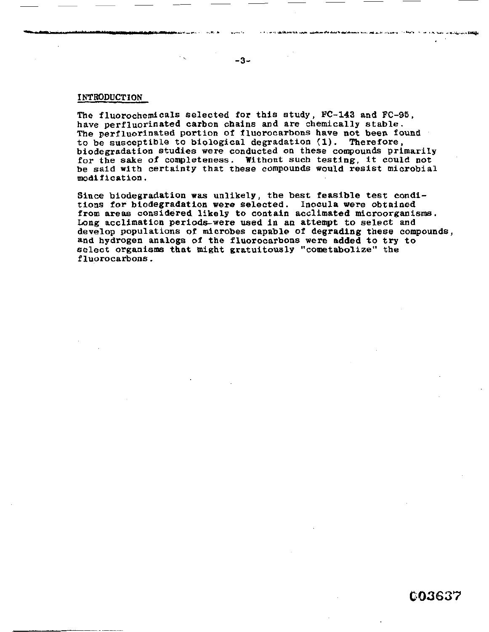#### INTRODUCTION

The fluorochemicals selected for this study, **FC-143** and **FC-95,**  have perfluorinated carbon chains and are chemically stable. The perfluorinated portion of fluorocarbons have not been found to be susceptible to biological degradation (1). Therefore, biodegradation studies were conducted **on** these **compounds** primarily **for** the **sake of** completeness. Without such testing, it could not be said with certainty that these compounds would resist microbial modification .

Since biodegradation **was** unlikely, the best feasible test conditions for biodegradation were selected. Inocula were obtained **from areas** considered likely **to** contain acclimated microorganisms. **Long** acclimation periodswere used in **an** attempt *to* select and develop populations of microbes capable of degrading these compounds, and hydrogen analogs of the fluorocarbons were added *to* **try** to select **organisms** that **might** gratuitously "cometabolize" the fluorocarbons.

 $\mathcal{F}_{\mathcal{A}}$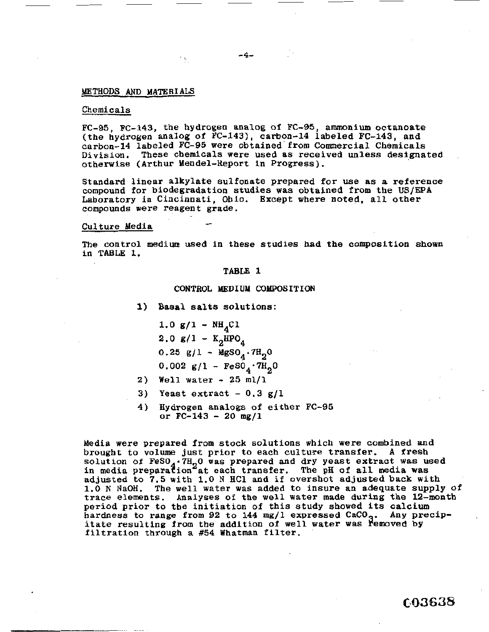#### **METHODS AND MATERIALS**

#### Chemicals

**FC-95, FC-143,** the hydrogen **analog of FC-95,** ammonium octanoate (the hydrogen analog **of** FC-143), carbon-14 labeled FC-143, and carbon-14 labeled **FC-95** were obtained' **from** Commercial Chemicals Division. These chemicals were used as received **unless** designated , otherwise (Arthur Mendel-Report in Progress).

Standard linear alkylate sulfonate prepared **for use** as **a** reference compound for biodegradation studies was obtained from the **US/EPA**  Laboratory in Cincinnati, Ohio. Except where noted, all **other**  compounds were reagent grade.

#### Culture Media

The control medium used in these studies had **the** composition **shown in** TABLE **1.** 

#### **TABLE 1**

#### CONTROL **ldEDIUM COLBOSITION**

**1) Basal** salts **solutions:** 

 $1.0 g/1 - NH_{A}Cl$ **2.0**  $g/1 - K_2HPO_4$  $0.25$  g/l -  $MgSO_A \cdot 7H_2O$  $0.002 \text{ g}/1 - \text{FeSO}_4 \cdot 7\text{H}_2\text{O}$ 

- **Well** water **<sup>25</sup>**ml/l **2)**
- Yeast extract **0.3** g/l **3)**
- or FC-143 **20 mg/l 4)** Hydrogen analogs **of** either **FC-95**

Media were prepared from stock solutions which were combined **and**  brought to volume just prior to **each** culture transfer. **A** fresh solution of **FeSO<sub>4</sub>**.7H<sub>2</sub>O was prepared and dry yeast extract was used in media preparation at each transfer, The pH of **all media was**  adjusted to 7.5 with 1.0 **N** HC1 and **if** overshot adjusted back with 1.0 **N** NaOH. The well water was added to insure an adequate supply *of*  trace elements. Analyses **of the** well water made during the 12-month period prior **to** the initiation of this study showed its calcium hardness to range **from 92** to **144** mg/l expressed CaCO . Any precipitate resulting from the addition of well water was removed by filtration through **a #54** Whatman filter.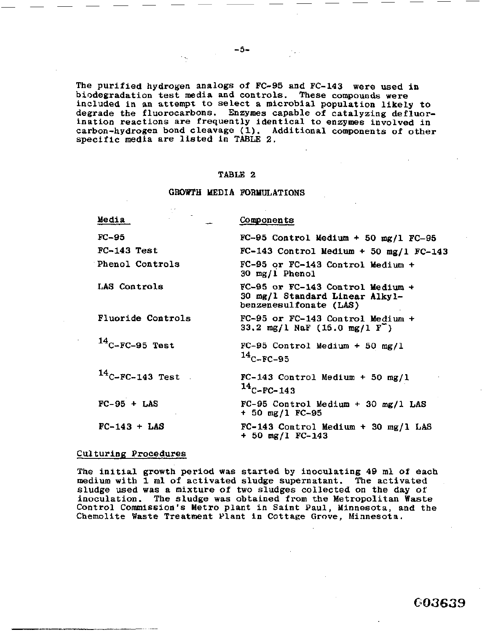The purified hydrogen analogs **of** FC-95 and FC-143 were **used in**  biodegradation test media and controls. These compounds were included in **an** attempt to select a microbial population likely to degrade the fluorocarbons. Enzymes capable of catalyzing defluorination reactions are frequently identical **to** enzymes involved in carbon-hydrogen bond cleavage (1). Additional components **of** other specific media are listed in TABLE **2.** 

#### **TABLE 2**

#### **GROWTH MEDIA FORMULATIONS**

| Media                    | <b>Components</b>                                                                              |
|--------------------------|------------------------------------------------------------------------------------------------|
| FC-95                    | $FC-95$ Control Medium + 50 mg/l $FC-95$                                                       |
| FC-143 Test              | $FC-143$ Control Medium + 50 mg/1 FC-143                                                       |
| <b>Phenol Controls</b>   | FC-95 or FC-143 Control Medium +<br>30 mg/1 Phenol                                             |
| LAS Controls             | FC-95 or FC-143 Control Medium $+$<br>30 mg/l Standard Linear Alkyl-<br>benzenesulfonate (LAS) |
| <b>Fluoride Controls</b> | FC-95 or FC-143 Control Medium +<br>33.2 mg/l NaF $(15.0 \text{ mg}/1 \text{ F}^{-})$          |
| $14$ C-FC-95 Test        | $FC-95$ Control Medium + 50 mg/l<br>$14c$ -FC-95                                               |
| $14$ C-FC-143 Test.      | $FC-143$ Control Medium + 50 mg/l<br>$14$ C-FC-143                                             |
| $FC-95 + LAS$            | $FC-95$ Control Medium + 30 mg/1 LAS<br>$+50$ mg/1 FC-95                                       |
| $FC-143 + LAS$           | $FC-143$ Control Medium + 30 mg/l LAS<br>$+50$ mg/l FC-143                                     |

#### Culturing Procedures

The initial growth period was started **by** inoculating 49 **ml of** each medium with **1** ml of activated sludge supernatant. The activated sludge used was **a** mixture of two sludges collected on the day of inoculation. The sludge was obtained **from** the Metropolitan Waste Control Commission's **Metro** plant in Saint Paul, Minnesota, and the Chemolite Waste Treatment Plant in Cottage Grove, Minnesota.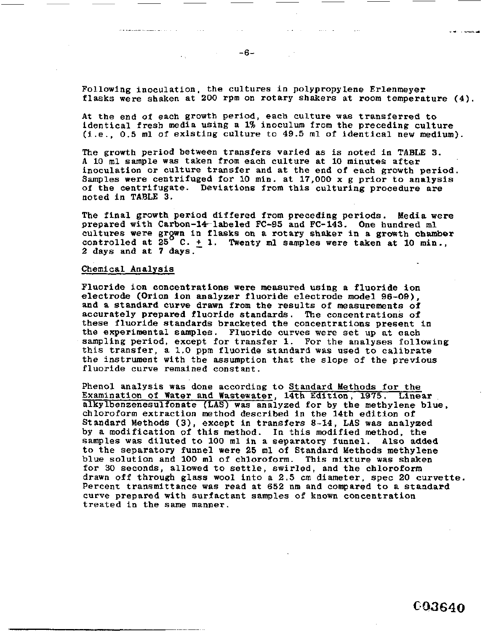Following inoculation, the cultures in polypropylene Erlenmeyer flasks were shaken at **200** rpm on rotary shakers at room temperature **(4).** 

- -... ^.- .."\_. -. .. . . .. . .. .. . .. --. . ...-. & . ... .

*At* the end of each growth period, each culture was transferred to identical fresh media using a 1% inoculum from the preceding culture (i.e., 0.5 ml of existing culture to **49.5** ml **of** identical new medium).

The growth period between transfers varied as *is* noted in **[TABLE 3.](#page-8-0)**  *<sup>A</sup>*10 ml sample **was** taken from each culture at 10 minutes after inoculation or culture transfer and at the end of each growth period. Samples were centrifuged *for* 10 min. at **17,000 x** *g* prior to analysis of the centrifugate. Deviations **from** this culturing procedure are noted in **[TABLE](#page-8-0)** 3.

The final growth period differed from preceding periods. Media were prepared with Carbon-14-labeled FC-95 and FC-143. One hundred ml cultures were grgwn In flasks on a rotary shaker in **a** growth **chamber**  controlled at  $\bar{25}^{\circ}$  C.  $\pm$  1. Twenty ml samples were taken at 10 min., **2** days and at *7* days.

#### Chemical Analysis

Fluoride ion concentrations were measured using a fluoride **ion**  electrode (Orion ion analyzer fluoride electrode model **96-09),**  and a standard curve drawn **from** the results **of** measurements of accurately prepared fluoride standards. The concentrations of these fluoride standards bracketed the concentrations present **In**  the experimental samples. Fluoride curves were set up at each sampling period, except for transfer **1. For** the analyses following this transfer, **a** 1.0 ppm fluoride standard **was** used to calibrate the instrument with the assumption that the slope of the previous fluoride curve remained constant.

Phenol analysis was done according to Standard Methods for the Examination of Water and Wastewater, 14th Edition, **1975. Linear**  alkylbenzenesulfonate **(LAS)** was analyzed for **by** the methylene blue, chloroform extraction method described in the 14th edition of Standard Methods **(3),** except in transfers **8-14,** LAS was analyzed by a modification of this method. In **this** modified method, the samples was diluted to **100** ml in a separatory **funnel. Also** added to the separatory funnel were **25** ml of Standard Methods methylene blue solution **and** 100 **ml** of chloroform. This mixture was shaken **for 30** seconds, allowed to settle, swirled, and the chloroform drawn off through glass wool into a *2.5* cm diameter, spec *20* curvette. Percent transmittance was read at **652** nm and compared to **a** standard curve prepared with surfactant samples of known concentration treated in the same manner.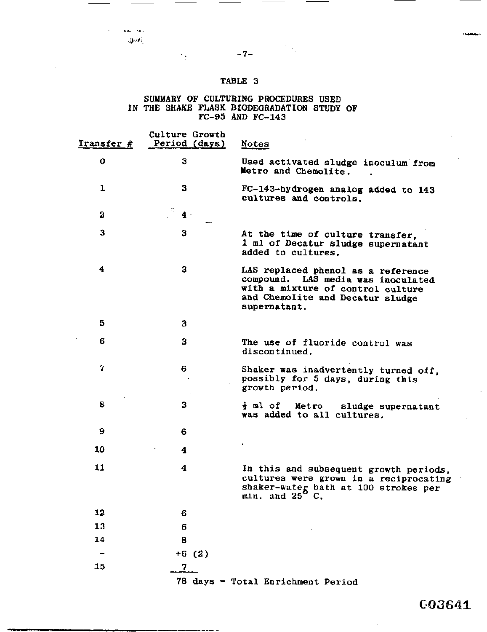- *7-* 

#### **SUMMARY OF CULTURING PROCEDURES USED IN** THE **SHAKE FLASK BIODEGRADATION STUDY OF FC-95 AND FC-143**

| Transfer # | Culture Growth<br>Period (days) | <u>Notes</u>                                                                                                                                                      |
|------------|---------------------------------|-------------------------------------------------------------------------------------------------------------------------------------------------------------------|
| 0          | 3                               | Used activated sludge inoculum from<br>Metro and Chemolite.                                                                                                       |
| ı          | 3                               | FC-143-hydrogen analog added to 143<br>cultures and controls.                                                                                                     |
| 2          | $4 -$                           |                                                                                                                                                                   |
| 3          | 3                               | At the time of culture transfer,<br>1 ml of Decatur sludge supernatant<br>added to cultures.                                                                      |
| 4          | 3                               | LAS replaced phenol as a reference<br>compound. LAS media was inoculated<br>with a mixture of control culture<br>and Chemolite and Decatur sludge<br>supernatant. |
| 5          | з                               |                                                                                                                                                                   |
| 6          | 3                               | The use of fluoride control was<br>discontinued.                                                                                                                  |
| 7          | 6                               | Shaker was inadvertently turned off,<br>possibly for 5 days, during this<br>growth period.                                                                        |
| 8          | 3                               | $\frac{1}{2}$ ml of Metro sludge supernatant<br>was added to all cultures.                                                                                        |
| 9          | 6                               |                                                                                                                                                                   |
| 10         | 4                               |                                                                                                                                                                   |
| 11         | 4                               | In this and subsequent growth periods,<br>cultures were grown in a reciprocating<br>shaker-water bath at 100 strokes per min. and $25^6$ C.                       |
| 12         | 6                               |                                                                                                                                                                   |
| 13         | 6                               |                                                                                                                                                                   |
| 14         | 8                               |                                                                                                                                                                   |
|            | $+6(2)$                         |                                                                                                                                                                   |
| 15         | $\mathbf 7$                     |                                                                                                                                                                   |
|            |                                 | 78 days = Total Enrichment Period                                                                                                                                 |

 $\mathcal{L}_{\rm{in}}$ 

<span id="page-8-0"></span> $\mathbf{a} = \mathbf{a} \cdot \mathbf{a}$  .

603641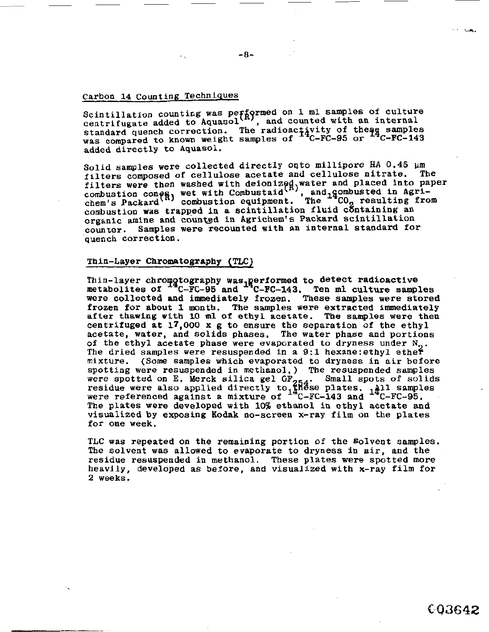# Carbon 14 Counting Techniques

Scintillation counting was performed on 1 ml samples of culture<br>examples of culture in the counterpal serves of the context of the context of the context of the context of the context of the context of the context of the c centrifugate added to Aquasol<sup>ess</sup>, and counted with an internal standard quench correction. The radioactivity of the  $\frac{2}{3}$  samples was compared to known weight samples of <sup>1</sup>C-FC-95 or <sup>17</sup>C-FC-143 added directly to Aquasol.

Solid samples were collected directly oqto millipore **HA** 0.45 **pm**  filters composed of cellulose acetate **and** cellulose nitrate. The filters were then washed with deionized, water and placed into paper combustion **con**  chem's Packard<sup>(R)</sup> combustion equipment. The <sup>++</sup>CO<sub>2</sub> resulting from combustion was trapped in a scintillation fluid containing an organic amine and **countad in** Agrichem's Packard scintillation counter. Samples were recounted with an internal standard for quench correction. washed with deionized water and placed into pa<br>wet with Combustaid<sup>(f)</sup>, and, gombusted in Agri-

#### Thin-Layer Chromatography (TLC)

Thin-layer chromotography was<sub>1</sub> performed to detect radioactive metabolites of <sup>T4</sup>C-FC-95 and <sup>14</sup>C-FC-143. Ten ml culture samples were collected and imnediately frozen. These **samples** were stored frozen for about **f.** month. The samples were extracted immediately after thawing **with 10 ml of** ethyl acetate. The samples were then centrifuged at **17,000 x g** to ensure the separation of the ethyl acetate, water, and solids phases, The water phase and portions of the ethyl acetate phase were evaporated to dryness under N<sub>2</sub>.<br>The dried samples were resuspended in a 9:1 hexane:ethyl ether mixture. **(Some** samples which evaporated to dryness in air before spotting were resuspended in methanol. ) The resuspended samples spotting were resuspended in methanol.) The resuspended samples<br>were spotted on E. Merck silica gel GF<sub>254</sub>. Small spots of solids residue were **also** applied directly **tol@8se** plates. **1411** samples were referenced against a mixture of <sup>14</sup>C-FC-143 and <sup>14</sup>C-FC-95. The plates were developed with **10%** ethanol **in ethyl** acetate and visualized by **exposing** Kodak no-screen x-ray film on the plates for one week.

TLC was repeated on the remaining portion **of** the Solvent samples. The solvent was allowed to evaporate to dryness in air, and the residue resuspended in methanol. These plates were spotted more heavily, developed as before, and visualized with x-ray film for **2** weeks.

003642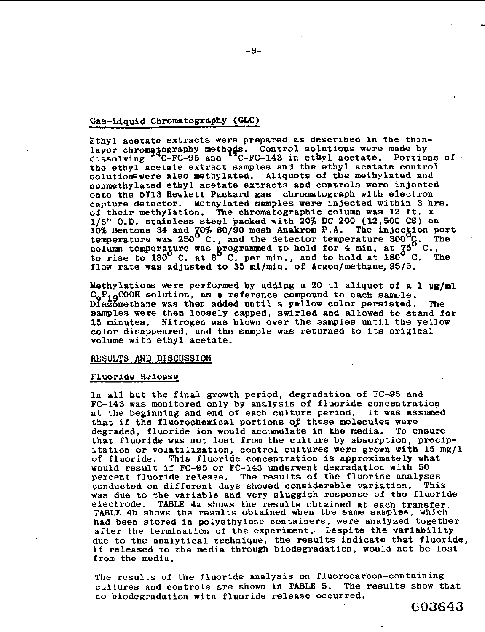#### Gas-Liquid Chromatography **(GLC)** -

Ethyl acetate extracts were prepared as described in the thinlayer chromatography methods. Control solutions were made by<br>dissolving <sup>4</sup>C-FC-95 and <sup>4</sup>C-FC-143 in ethyl acetate. Portions of dissolving <sup>17</sup>C-FC-95 and <sup>17</sup>C-FC-143 in ethyl acetate. Portions the ethyl acetate control solutions were also methylated. Aliquots of the methylated and nonmethylated ethyl acetate extracts and controls were injected onto the **5713** Bewlett Packard gas chromatograph with electron capture detector. Methylated samples were injected within **3** hrs. of their methylation. The chromatographic **column** was **12** ft. **x 1/8"** O.D. stainless **s-el** packed with **20%** DC *200* **(12,500 CS)** on **10%** Bentone **34** and **'&Os 80/90** mesh Anakrom **P.A.**  temperature was **250 C.,** and the detector temperature **300** g. The column temperature was programmed to hold for 4 min. at  $75^{\circ}$  C., to rise to **180 C.** at *8* **C. per** min., and to hold at **180** *C.* The flow rate was adjusted to **35** ml/min. **of** Argon/methane,95/5. The injection port

Methylations were performed by adding a *20* **~1** aliquot **of** a **1 pg/rnl**   $C_0F_{1Q}$ COOH solution, as a reference compound to each sample. **Dfaaomethane was then** added until a yellow color persisted. samples were then loosely capped, swirled and allowed to stand for **15** minutes. Nitrogen was blown over the samples until the yellow color disappeared, and the sample was returned to its original volume with ethyl acetate. **The** 

#### **RESULTS** AND **DISCUSSION**

#### Fluoride Release

In all but the final growth period, degradation **of FC-95** and **FC-143** was monitored only **by** analysis **of** fluoride concentration at the beginning and end of each culture period. It was assumed that if the fluorochemical portions *oJ* these molecules were degraded, fluoride ion would accumulate in the media. **To** ensure that fluoride was not lost from the culture by absorption, precipitation or volatilization, control cultures were grown with **15 mg/l of** fluoride. This fluoride concentration is approximately what would result if **FC-95 or FC-143** underwent degradation with 50 percent fluoride release. The results of the fluoride analyses conducted on different days showed considerable variation. This conducted on different days showed considerable variation. was due **to** the variable and very sluggish response of the fluoride electrode. **TABLE 4a shows** the results obtained at each transfer TABLE 4b shows the results obtained when the same samples, which' had been stored in polyethylene containers, were analyzed together after the termination of the experiment. Despite the variability due to the analytical technique, the results indicate that fluoride, if released to the media through biodegradation, would not be lost from the media.

The results of the fluoride analysis on fluorocarbon-containing<br>cultures and controls are shown in TABLE 5. The results show that cultures and controls are shown in **TABLE 5.** no **biodegradation** with fluoride release occurred.

**GO3643**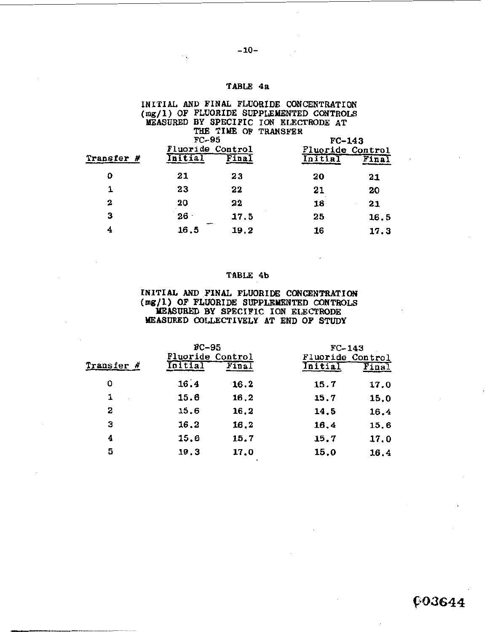# **TABLE 4a**

# **INITIAL** AND **FINAL FLUORIDE CONCENTRATION (rng/l) OF FLUORIDE SUPPLEMENTED CONTROLS MEASURED BY SPECIFIC ION ELECTRODE AT**  THE TIME OF TRANSFER **FC-95 FC-95 FC-143 Fluoride Control Fluoride Control**  TABLE 4a<br>
INITIAL AND FINAL FLUORIDE CONCENTRATION<br>
(mg/1) OF FLUORIDE SUPPLEMENTED CONTROLS<br>
MEASURED BY SPECIFIC ION ELECTRODE AT<br>
THE TIME OF TRANSFER<br>
FC-95<br>
Transfer # Fluoride Control<br>
Dilial Final<br>
23<br>
22<br>
21<br>
23<br>
2 **23 20 21 23 22 21 20 20 22 18 21 0 21 1 2 3 26** - **17.5 25 16.5 4 16.5 19.2 16 17.3**  -

#### **TABLE 4b**

#### **INITIAL AWD FINAL FLUORIDE CONCENTRATION (mg/l) OF FLUORIDE SUPPLEMENTED CONTROLS MBASURED BY SPECIFIC ION ELECTRODE MEASURED COLLECTIVELY AT END OF STUDY**

|            | $BC-95$<br>Fluoride Control |                     | $FC-143$<br>Fluoride Control |      |  |
|------------|-----------------------------|---------------------|------------------------------|------|--|
| Transfer # | .nitial                     | $\overline{F}$ ina) | nitial                       |      |  |
| 0          | 16.4                        | 16.2                | 15.7                         | 17.0 |  |
| 1          | 15.6                        | 16.2                | 15.7                         | 15.0 |  |
| 2          | 15.6                        | 16.2                | 14.5                         | 16.4 |  |
| з          | 16.2                        | 16.2                | 16,4                         | 15.6 |  |
| 4          | 15.6                        | 15.7                | 15.7                         | 17.0 |  |
| 5          | 19.3                        | 17.0                | 15.0                         | 16.4 |  |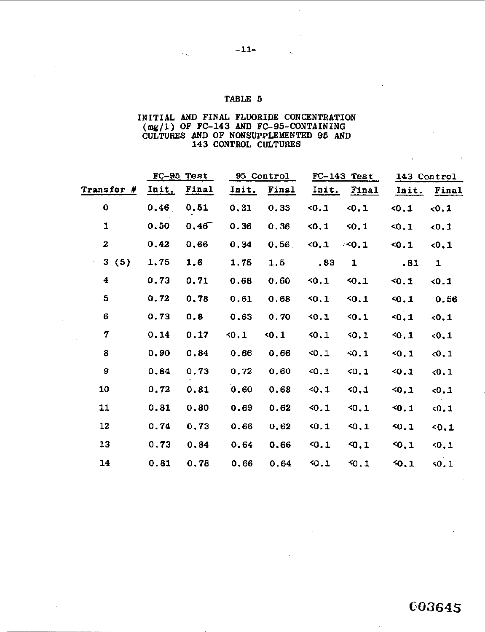# INITIAL **AND FINAL** FLUORIDE CONCENTRATION CULTURES AND OF **NONSUPPLEMENTED 95 AND**  143 CONTROL CULTURES **(%/1)** OF FC-143 **AND** FC-95-CONTAINING

| INITIAL AND FINAL FLUORIDE CONCENTRATION<br>$(mg/1)$ OF FC-143 AND FC-95-CONTAINING<br>CULTURES AND OF NONSUPPLEMENTED 95 AND<br>143 CONTROL CULTURES |       |              |       |            |              |               |             |              |
|-------------------------------------------------------------------------------------------------------------------------------------------------------|-------|--------------|-------|------------|--------------|---------------|-------------|--------------|
|                                                                                                                                                       |       | $FC-95$ Test |       | 95 Control |              | $FC-143$ Test | 143 Control |              |
| <b>Transfer #</b>                                                                                                                                     | Init. | Final        | Init. | Final      | <u>Init.</u> | Final         | Init.       | Final        |
| 0                                                                                                                                                     | 0.46/ | 0.51         | 0, 31 | 0.33       | 0.1          | < 0.1         | 50.1        | 0.1          |
| 1                                                                                                                                                     | 0.50  | 0,46         | 0, 36 | 0.36       | 50.1         | 50.1          | 50.1        | 0.1          |
| 2                                                                                                                                                     | 0.42  | 0.66         | 0.34  | 0.56       | 50.1         | $\leq 0.1$    | 40.1        | 0.1          |
| 3(5)                                                                                                                                                  | 1.75  | 1.6          | 1.75  | 1, 5       | .83          | 1             | .81         | $\mathbf{1}$ |
| 4                                                                                                                                                     | 0.73  | 0.71         | 0.68  | 0.60       | 50,1         | 50.1          | 50.1        | 0.1          |
| 5                                                                                                                                                     | 0, 72 | 0.78         | 0.61  | 0.68       | 50.1         | 50.1          | 50.1        | 0.56         |
| 6                                                                                                                                                     | 0.73  | 0,8          | 0.63  | 0,70       | 50.1         | 50.1          | 50.1        | 0.1          |
| 7                                                                                                                                                     | 0.14  | 0.17         | 50.1  | 50.1       | 40.1         | 50.1          | 40.1        | 0.1          |
| 8                                                                                                                                                     | 0.90  | 0.84         | 0.66  | 0.66       | 40.1         | 40.1          | 30.1        | 0.1          |
| 9                                                                                                                                                     | 0.84  | 0.73         | 0.72  | 0.60       | 40.1         | 50.1          | 30.1        | 0.1          |
| 10                                                                                                                                                    | 0.72  | 0.81         | 0.60  | 0.68       | 40, 1        | 50,1          | 50.1        | 0.1          |
| 11                                                                                                                                                    | 0.81  | 0.80         | 0.69  | 0.62       | 40.1         | 40.1          | 50.1        | 0.1          |
| 12                                                                                                                                                    | 0.74  | 0.73         | 0.66  | 0.62       | 50.1         | 40.1          | 50.1        | 50.1         |
| 13                                                                                                                                                    | 0.73  | 0,84         | 0.64  | 0.66       | 40.1         | 40.1          | 50.1        | 50.1         |
| 14                                                                                                                                                    | 0.81  | 0.78         | 0.66  | 0.64       | 40.1         | 50.1          | 50.1        | 50.1         |
|                                                                                                                                                       |       |              |       |            |              |               |             |              |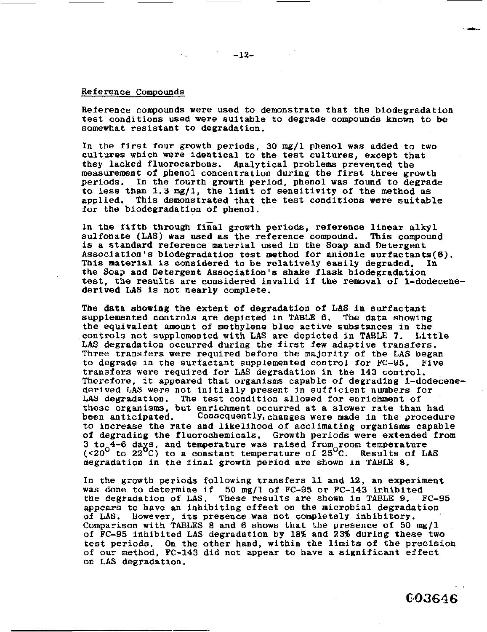#### Reference Compounds

Reference compounds were used to demonstrate that the biodegradation test conditions used were suitable to degrade compounds known to be somewhat resistant to degradation.

In the first four growth periods, **30** mg/l phenol was added to two cultures which were identical to the test cultures, except that they lacked fluorocarbons. Analytical problems prevented **the**  measurement **of** phenol concentration during the first three growth periods. In the fourth growth period, phenol **was** found to degrade to less than **1.3** mg/l, the limit of sensitivity of the method as This demonstrated that the test conditions were suitable for the biodegradation **of** phenol.

**In** the fifth through final growth periods, reference linear alkyl sulfonate **(US)** was used **as** the reference compound. This compound **is** a standard reference material used in the Soap and Detergent Association's biodegradation test method for anionic surfactants(6). This material is considered to be relatively easily degraded. the Soap and Detergent Association's shake flask biodegradation test, the results are considered invalid if the removal **of** l-dodecenederived **LAS is** not **nearly** complete.

**The** data showing the extent of degradation of **LAS** in surfactant supplemented controls are depicted in [TABLE](#page-14-0) *6.* The data showing the equivalent amount of methylene blue active substances in the controls not supplemented with LAS are depicted in TABLE 7. Little controls not supplemented with LAS are depicted in TABLE 7. **LAS** degradation occurred during the first few adaptive transfers. Three transfers were required before the majority of the LAS began to degrade in the surfactant supplemented control for FC-95. Five to degrade in the surfactant supplemented control for FC-95. transfers were required for **LAS** degradation in the **143** control. Therefore, it appeared that organisms capable of degrading l-dodecenederived LAS were not initially present in sufficient numbers for LAS degradation. The test condition allowed for enrichment **of**  these organisms, but enrichment occurred at a slower rate than had been anticipated. Consequently, changes were made in the procedure Consequently, changes were made in the procedure to increase the rate and likelihood of acclimating organisms capable *of* degrading the fluorochemicals. Growth periods were extended from 3 to<sub>o</sub>4-6 days, and temperature was raised from room temperature *(~20* to **22 C)** to a constant temperature of **25 C.** Results of **LAS**  degradation in the final growth period are shown in **TABLE** *8.* 

In the growth periods following transfers **11** and **12,** an experiment was done to determine if 50 mg/l **of** FC-95 **or FC-143** inhibited These results are shown in [TABLE 9.](#page-16-0) appears to have an inhibiting effect on the microbial degradation of LAS. However, its presence was not completely inhibitory. **of LAS.** However, **its** presence **was** not completely inhibitory. Comparison with **TABLES 8** and **6** shows that the presence of **50 mg/l**  of **FC-95** inhibited LAS degradation by **18%** and **23%** during these two test periods. On the other hand, within the limits **of** the precision of **our** method, **FC-143** did **not** appear to have a significant effect **on** LAS degradation.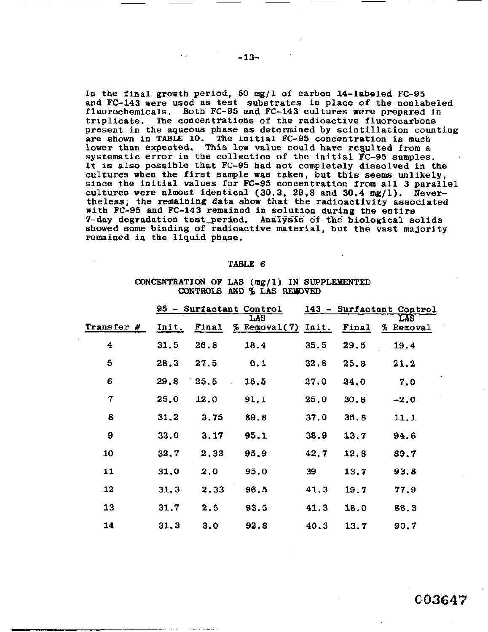<span id="page-14-0"></span>**In** the final growth period, *50* mg/l **of** carbon 14-labeled **FC-95**  and **FC-143** were used as test substrates in place **of** the nonlabeled fluorochernicals. Both **FC-95** and **FC-143** cultures were prepared *in*  triplicate. **The** concentrations of the radioactive fluorocarbons present **in** the **aqueous** phase **as** determined by scintillation counting are **shown** in [TABLE](#page-16-0) **10. The** initial **FC-95** concentration is much lower than expected. This low value could have resulted from a systematic error in the collection **of** the initial **FC-95 samples.**  It **is also** possible that **FC-95** had **not** completely dissolved in the cultures when the first sample was taken, but this seems unlikely, since the initial values **for FC-95** concentration **from** all **3** parallel cultures were almost identical **(30.3, 29,8 and 30.4** mg/1). Nevertheless, the remaining data show that the radioactivity associated with FC-95 and **FC-143** remained **in** solution during the entire 7-day degradation test period. Analysis of the biological solids showed **some binding** of radioactive material, but the vast majority remained in the liquid **phase.** 

#### **TABLE** *6*

#### **CQNCHiTRATION OF LAS** (mg/l) IN **SUPPLEMENTED CONTROLS AND 96 LAS REUOVED**

| TABLE 6<br>CONCENTRATION OF LAS (mg/1) IN SUPPLEMENTED<br>CONTROLS AND % LAS REMOVED |       |       |                             |      |       |            |  |
|--------------------------------------------------------------------------------------|-------|-------|-----------------------------|------|-------|------------|--|
| 95 - Surfactant Control<br>143 - Surfactant Control                                  |       |       |                             |      |       | <b>LAS</b> |  |
| Transfer #                                                                           | Init. | Final | LAS<br>$%$ Removal(7) Init. |      | Final | % Removal  |  |
| 4                                                                                    | 31,5  | 26.8  | 18.4                        | 35.5 | 29.5  | 19.4       |  |
| 5                                                                                    | 28.3  | 27.5  | 0.1                         | 32.8 | 25.8  | 21.2       |  |
| 6                                                                                    | 29.8  | 25.5  | 15.5                        | 27.0 | 24,0  | 7.0        |  |
| 7                                                                                    | 25.0  | 12.0  | 91.1                        | 25,0 | 30.6  | $-2.0$     |  |
| 8                                                                                    | 31.2  | 3.75  | 89.8                        | 37.0 | 35.8  | 11,1       |  |
| 9                                                                                    | 33,0  | 3.17  | 95.1                        | 38.9 | 13.7  | 94.6       |  |
| 10                                                                                   | 32.7  | 2.33  | 95.9                        | 42.7 | 12,8  | 89.7       |  |
| 11                                                                                   | 31,0  | 2.0   | 95.0                        | 39   | 13.7  | 93.8       |  |
| 12                                                                                   | 31.3  | 2.33  | 96.5                        | 41.3 | 19.7  | 77.9       |  |
| 13                                                                                   | 31.7  | 2.5   | 93.5                        | 41.3 | 18.0  | 88.3       |  |
| 14                                                                                   | 31,3  | 3.0   | 92.8                        | 40.3 | 13.7  | 90,7       |  |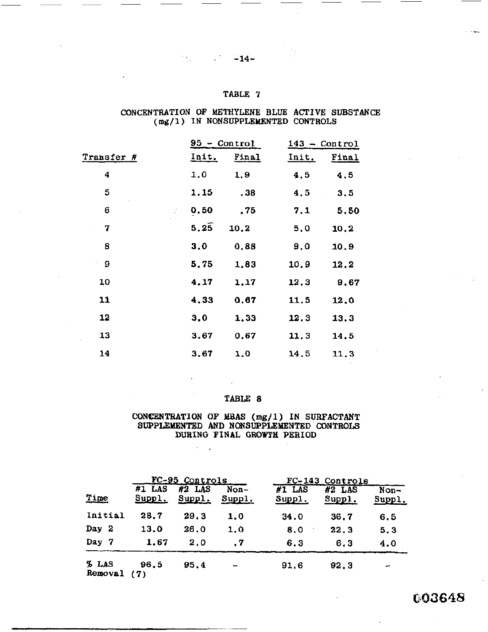#### **CONCENTRATION OF METHYLENE BLUE ACTIVE SUBSTANCE (mg/l) IN NONSUPPLEbfENTED CONTROLS**

|            | CONCENTRATION OF METHYLENE BLUE ACTIVE SUBSTAI<br>(mg/1) IN NONSUPPLEMENTED CONTROLS | TABLE 7        |       |                 |
|------------|--------------------------------------------------------------------------------------|----------------|-------|-----------------|
|            |                                                                                      |                |       |                 |
|            |                                                                                      |                |       |                 |
|            |                                                                                      | $95 - Control$ |       | $143 - Control$ |
| Transfer # | Init.                                                                                | Final          | Init. | <b>Final</b>    |
| 4          | 1.0                                                                                  | 1.9            | 4,5   | 4, 5            |
| 5          | 1.15                                                                                 | , 38           | 4,5   | 3.5             |
| 6          | 0.50<br>$\mathcal{L} \rightarrow \mathcal{L}$                                        | .75            | 7.1   | 5.50            |
| 7          | 5, 25                                                                                | 10.2           | 5,0   | 10.2            |
| 8          | 3.0                                                                                  | 0.88           | 9.0   | 10.9            |
| 9          | 5,75                                                                                 | 1,83           | 10.9  | 12.2            |
| 10         | 4.17                                                                                 | 1,17           | 12,3  | 9.67            |
| 11         | 4,33                                                                                 | 0.67           | 11.5  | 12.0            |
| 12         | 3.0                                                                                  | 1,33           | 12.3  | 13.3            |
| 13         | 3.67                                                                                 | 0.67           | 11.3  | 14.5            |
| 14         | 3,67                                                                                 | 1.0            | 14.5  | 11.3            |

## TABLE *8*

#### **CONCENTRATION OF MBAS (mg/l) IN SURFACTANT SUPPLEMENTED** AND **NONSUPPLEMENTED CONTROLS DURING FINAL GROWTH PERIOD**

|                  |                    | $\sim$                                      |                |                    |                                       |                  |
|------------------|--------------------|---------------------------------------------|----------------|--------------------|---------------------------------------|------------------|
| Time             | $#1$ LAS<br>Suppl. | <u>FC-95 Controls</u><br>$#2$ LAS<br>Suppl. | Non-<br>Suppl. | $#1$ LAS<br>Suppl. | FC-143 Controls<br>$#2$ LAS<br>Supp1. | $Non-$<br>Suppl. |
| Initial          | 28.7               | 29.3                                        | 1.0            | 34.0               | 36.7                                  | 6.5              |
| Day 2            | 13.0               | 26.0                                        | 1,0            | 8.0<br>٠           | 22.3                                  | 5.3              |
| Day 7            | 1.67               | 2,0                                         | . 7            | 6.3                | 6.3                                   | 4.0              |
| % LAS<br>Removal | 96.5<br>(7)        | 95.4                                        |                | 91.6               | 92.3                                  |                  |

003648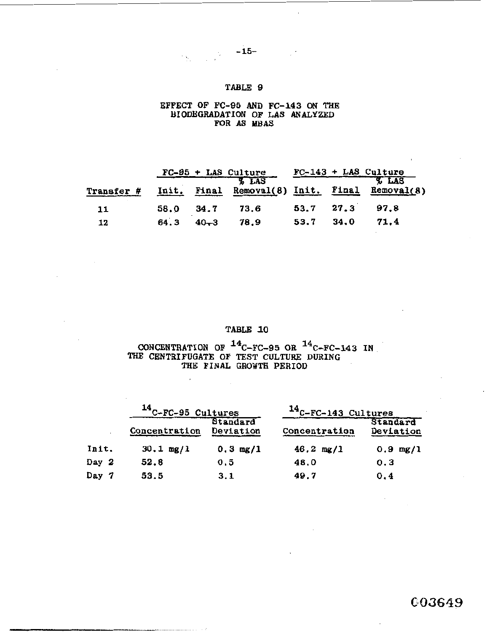$-15-$ 

# <span id="page-16-0"></span>**EFFECT OF FC-95** AND **FC-143 ON** TU **BIODEGRADATION OF LAS ANALYZED FOR AS WAS**

|            |      |          | $FC-95 + LAS Culture$ |      |      | $FC-143 + LAS$ Culture                               |
|------------|------|----------|-----------------------|------|------|------------------------------------------------------|
| Transfer # |      |          | <b>&amp; LAS</b>      |      |      | LAS<br>Init. Final Removal(8) Init. Final Removal(8) |
| 11         | 58.0 | 34.7     | 73.6                  | 53.7 | 27.3 | 97.8                                                 |
| 12         | 64.3 | $40 - 3$ | 78.9                  | 53.7 | 34.0 | 71.4                                                 |

# **TABLE 10**

# **CONCENTRATION OF**  $^{14}$ **C-FC-95 OR**  $^{14}$ **C-FC-143 IN** THE CENTRIFUGATE OF TEST CULTURE DURING **THE FINAL GROXTH PERIOD**

 $\ddot{\phantom{1}}$ 

 $-$  -  $-$  -  $-$ 

|       | <sup>14</sup> C-FC-95 Cultures |                       | $14$ C-FC-143 Cultures |                       |  |
|-------|--------------------------------|-----------------------|------------------------|-----------------------|--|
|       | Concentration                  | Standard<br>Deviation | Concentration          | Standard<br>Deviation |  |
| Init. | $30.1 \text{ mg}/1$            | $0.3 \, mg/1$         | $46.2 \text{ mg}/1$    | $0.9 \, mg/1$         |  |
| Day 2 | 52.8                           | 0.5                   | 48.0                   | 0.3                   |  |
| Day 7 | 53.5                           | 3.1                   | 49.7                   | 0.4                   |  |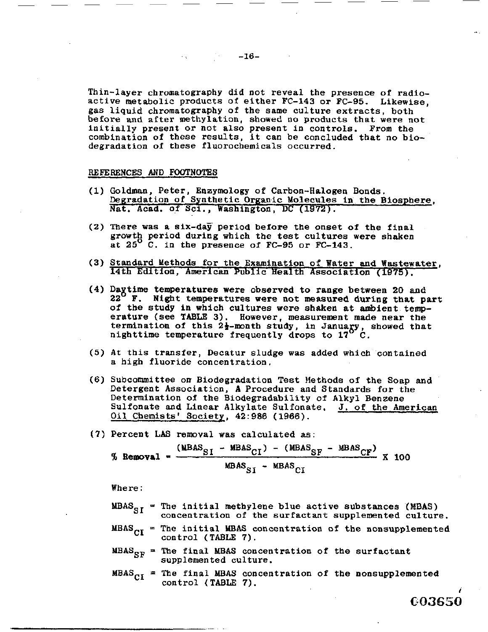.. .

**C.83650** 

Thin-layer chromatography did not reveal the presence **of** radioactive metabolic products of either **FC-143 or FC-95.** Likewise, gas liquid Chromatography of the same culture extracts, both **before** and **after** methylation, showed no products that were not initially present or not also present in controls. From the combination of these results, it can **be** concluded that no biodegradation of these fluorochemicals occurred.

#### **REFERENCES** AND **FOOTNOTES**

- (1) Goldman, Peter, Enzymology *of* Carbon-Halogen Bonds. Degradation **of** Synthetic Organic Molecules in the Biosphere, Nat. Acad. **of Sci.,** Washington, DC **(1972).**
- **(2)** There was a six-day period before the onset of the final **growtg** period during which the test cultures were shaken at **25** C. in the presence **of FC-95** or **FC-143.**
- **(3)** Standard Methods for the Examination **of** Water **and Wastewater,**  14th Edition, American Public Health Association **(1975).**
- **(4)** Dagtime temperatures were observed to range between *20* **and 22 F. Night** temperatures **were not** measured **during** that part *of'* the study **in** which cultures **were** shaken at ambient temperature (see **TABLE 3).** However, measurement made near the termination of this 2<sup>1</sup>/<sub>2</sub>-month study, in January, showed that nighttime temperature frequently drops to **17** C.
- a high fluoride concentration. (5) At this transfer, Decatur sludge **was** added which contained
- (6) Subcommittee on Biodegradation Test Methods **of** the **Soap** and Detergent Association, **A** Procedure and Standards for the Determination of the Biodegradability *of* **Alkyl** Benzene Sulfonate and Linear Alkylate Sulfonate. J. *of* the American Oil Chemists' Society, **42:986 (1966).**
- *(7)* Percent LAS removal was calculated as:

$$
\% \text{ Removeal} = \frac{(\text{WBAS}_{SI} - \text{WBAS}_{CI}) - (\text{WBAS}_{SF} - \text{WBAS}_{CF})}{\text{WBAS}_{SI} - \text{WBAS}_{CI}} \times 100
$$

Where :

- $MBAS<sub>ST</sub>$  = The initial methylene blue active substances (MBAS) concentration *of* the surfactant supplemented culture.
- $MBAS<sub>CI</sub>$  = The initial MBAS concentration of the nonsupplemented control (TABLE *7).*
- MBAS<sub>SF</sub> = The final MBAS concentration of the surfactant supplemented culture.
- $MBAS<sub>CI</sub>$  = The final MBAS concentration of the nonsupplemented control (TABLE 7).